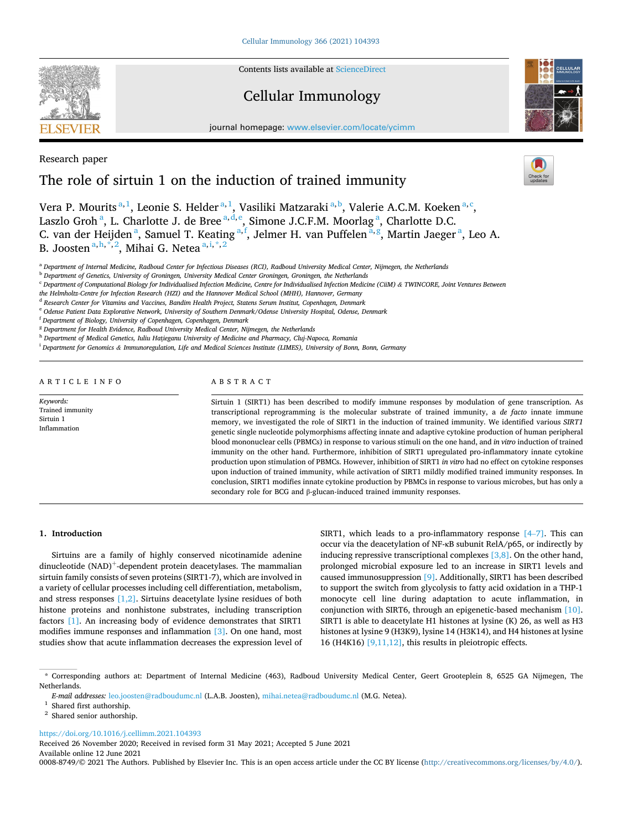Contents lists available at [ScienceDirect](www.sciencedirect.com/science/journal/00088749)

## Cellular Immunology

journal homepage: [www.elsevier.com/locate/ycimm](https://www.elsevier.com/locate/ycimm)



## Research paper

# The role of sirtuin 1 on the induction of trained immunity

Vera P. Mourits<sup>a, 1</sup>, Leonie S. Helder<sup>a, 1</sup>, Vasiliki Matzaraki<sup>a, b</sup>, Valerie A.C.M. Koeken<sup>a, c</sup>, Laszlo Groh<sup>a</sup>, L. Charlotte J. de Bree<sup>a, d, e</sup>, Simone J.C.F.M. Moorlag<sup>a</sup>, Charlotte D.C. C. van der Heijden<sup>a</sup>, Samuel T. Keating<sup>a, f</sup>, Jelmer H. van Puffelen<sup>a, g</sup>, Martin Jaeger<sup>a</sup>, Leo A. B. Joosten <sup>a, h, \*, 2</sup>, Mihai G. Netea <sup>a, i, \*, 2</sup>

<sup>a</sup> *Department of Internal Medicine, Radboud Center for Infectious Diseases (RCI), Radboud University Medical Center, Nijmegen, the Netherlands* 

<sup>b</sup> *Department of Genetics, University of Groningen, University Medical Center Groningen, Groningen, the Netherlands* 

<sup>c</sup> *Department of Computational Biology for Individualised Infection Medicine, Centre for Individualised Infection Medicine (CiiM) & TWINCORE, Joint Ventures Between* 

*the Helmholtz-Centre for Infection Research (HZI) and the Hannover Medical School (MHH), Hannover, Germany* 

<sup>d</sup> *Research Center for Vitamins and Vaccines, Bandim Health Project, Statens Serum Institut, Copenhagen, Denmark* 

<sup>e</sup> *Odense Patient Data Explorative Network, University of Southern Denmark/Odense University Hospital, Odense, Denmark* 

<sup>f</sup> *Department of Biology, University of Copenhagen, Copenhagen, Denmark* 

<sup>g</sup> *Department for Health Evidence, Radboud University Medical Center, Nijmegen, the Netherlands* 

<sup>h</sup> *Department of Medical Genetics, Iuliu Ha*ț*ieganu University of Medicine and Pharmacy, Cluj-Napoca, Romania* 

<sup>i</sup> *Department for Genomics & Immunoregulation, Life and Medical Sciences Institute (LIMES), University of Bonn, Bonn, Germany* 

ARTICLE INFO

*Keywords:*  Trained immunity Sirtuin 1 Inflammation

## ABSTRACT

Sirtuin 1 (SIRT1) has been described to modify immune responses by modulation of gene transcription. As transcriptional reprogramming is the molecular substrate of trained immunity, a *de facto* innate immune memory, we investigated the role of SIRT1 in the induction of trained immunity. We identified various *SIRT1*  genetic single nucleotide polymorphisms affecting innate and adaptive cytokine production of human peripheral blood mononuclear cells (PBMCs) in response to various stimuli on the one hand, and *in vitro* induction of trained immunity on the other hand. Furthermore, inhibition of SIRT1 upregulated pro-inflammatory innate cytokine production upon stimulation of PBMCs. However, inhibition of SIRT1 *in vitro* had no effect on cytokine responses upon induction of trained immunity, while activation of SIRT1 mildly modified trained immunity responses. In conclusion, SIRT1 modifies innate cytokine production by PBMCs in response to various microbes, but has only a secondary role for BCG and β-glucan-induced trained immunity responses.

## **1. Introduction**

Sirtuins are a family of highly conserved nicotinamide adenine  $dinucleotide (NAD)<sup>+</sup>-dependent protein decetylasses. The mammalian$ sirtuin family consists of seven proteins (SIRT1-7), which are involved in a variety of cellular processes including cell differentiation, metabolism, and stress responses [\[1,2\]](#page-6-0). Sirtuins deacetylate lysine residues of both histone proteins and nonhistone substrates, including transcription factors [\[1\].](#page-6-0) An increasing body of evidence demonstrates that SIRT1 modifies immune responses and inflammation [\[3\].](#page-6-0) On one hand, most studies show that acute inflammation decreases the expression level of SIRT1, which leads to a pro-inflammatory response [\[4](#page-6-0)–7]. This can occur via the deacetylation of NF-κB subunit RelA/p65, or indirectly by inducing repressive transcriptional complexes [\[3,8\]](#page-6-0). On the other hand, prolonged microbial exposure led to an increase in SIRT1 levels and caused immunosuppression [\[9\]](#page-6-0). Additionally, SIRT1 has been described to support the switch from glycolysis to fatty acid oxidation in a THP-1 monocyte cell line during adaptation to acute inflammation, in conjunction with SIRT6, through an epigenetic-based mechanism [\[10\]](#page-6-0). SIRT1 is able to deacetylate H1 histones at lysine (K) 26, as well as H3 histones at lysine 9 (H3K9), lysine 14 (H3K14), and H4 histones at lysine 16 (H4K16) [\[9,11,12\]](#page-6-0), this results in pleiotropic effects.

<https://doi.org/10.1016/j.cellimm.2021.104393>

Available online 12 June 2021 Received 26 November 2020; Received in revised form 31 May 2021; Accepted 5 June 2021

0008-8749/© 2021 The Authors. Published by Elsevier Inc. This is an open access article under the CC BY license(<http://creativecommons.org/licenses/by/4.0/>).



<sup>\*</sup> Corresponding authors at: Department of Internal Medicine (463), Radboud University Medical Center, Geert Grooteplein 8, 6525 GA Nijmegen, The Netherlands.

*E-mail addresses:* [leo.joosten@radboudumc.nl](mailto:leo.joosten@radboudumc.nl) (L.A.B. Joosten), [mihai.netea@radboudumc.nl](mailto:mihai.netea@radboudumc.nl) (M.G. Netea). <sup>1</sup> Shared first authorship. <sup>2</sup> Shared senior authorship.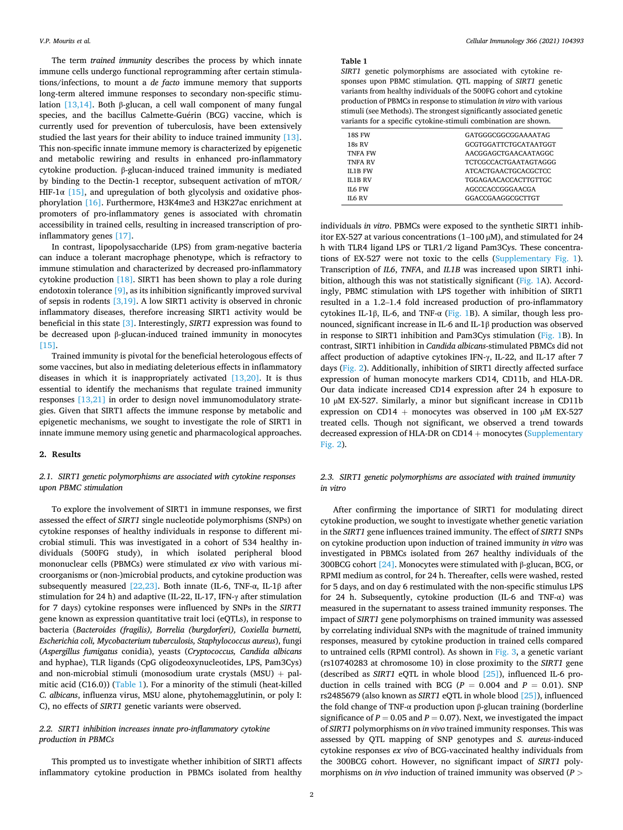<span id="page-1-0"></span>The term *trained immunity* describes the process by which innate immune cells undergo functional reprogramming after certain stimulations/infections, to mount a *de facto* immune memory that supports long-term altered immune responses to secondary non-specific stimulation [\[13,14\]](#page-6-0). Both β-glucan, a cell wall component of many fungal species, and the bacillus Calmette-Guérin (BCG) vaccine, which is currently used for prevention of tuberculosis, have been extensively studied the last years for their ability to induce trained immunity [\[13\]](#page-6-0). This non-specific innate immune memory is characterized by epigenetic and metabolic rewiring and results in enhanced pro-inflammatory cytokine production. β-glucan-induced trained immunity is mediated by binding to the Dectin-1 receptor, subsequent activation of mTOR/ HIF-1 $\alpha$  [\[15\],](#page-6-0) and upregulation of both glycolysis and oxidative phosphorylation [\[16\]](#page-6-0). Furthermore, H3K4me3 and H3K27ac enrichment at promoters of pro-inflammatory genes is associated with chromatin accessibility in trained cells, resulting in increased transcription of proinflammatory genes [\[17\].](#page-6-0)

In contrast, lipopolysaccharide (LPS) from gram-negative bacteria can induce a tolerant macrophage phenotype, which is refractory to immune stimulation and characterized by decreased pro-inflammatory cytokine production  $[18]$ . SIRT1 has been shown to play a role during endotoxin tolerance [\[9\]](#page-6-0), as its inhibition significantly improved survival of sepsis in rodents [\[3,19\]](#page-6-0). A low SIRT1 activity is observed in chronic inflammatory diseases, therefore increasing SIRT1 activity would be beneficial in this state [\[3\]](#page-6-0). Interestingly, *SIRT1* expression was found to be decreased upon β-glucan-induced trained immunity in monocytes [\[15\]](#page-6-0).

Trained immunity is pivotal for the beneficial heterologous effects of some vaccines, but also in mediating deleterious effects in inflammatory diseases in which it is inappropriately activated  $[13,20]$ . It is thus essential to identify the mechanisms that regulate trained immunity responses [\[13,21\]](#page-6-0) in order to design novel immunomodulatory strategies. Given that SIRT1 affects the immune response by metabolic and epigenetic mechanisms, we sought to investigate the role of SIRT1 in innate immune memory using genetic and pharmacological approaches.

#### **2. Results**

## *2.1. SIRT1 genetic polymorphisms are associated with cytokine responses upon PBMC stimulation*

To explore the involvement of SIRT1 in immune responses, we first assessed the effect of *SIRT1* single nucleotide polymorphisms (SNPs) on cytokine responses of healthy individuals in response to different microbial stimuli. This was investigated in a cohort of 534 healthy individuals (500FG study), in which isolated peripheral blood mononuclear cells (PBMCs) were stimulated *ex vivo* with various microorganisms or (non-)microbial products, and cytokine production was subsequently measured [\[22,23\].](#page-6-0) Both innate (IL-6, TNF- $\alpha$ , IL-1 $\beta$  after stimulation for 24 h) and adaptive (IL-22, IL-17, IFN-γ after stimulation for 7 days) cytokine responses were influenced by SNPs in the *SIRT1*  gene known as expression quantitative trait loci (eQTLs), in response to bacteria (*Bacteroides (fragilis), Borrelia (burgdorferi), Coxiella burnetti, Escherichia coli, Mycobacterium tuberculosis, Staphylococcus aureus*), fungi (*Aspergillus fumigatus* conidia), yeasts (*Cryptococcus, Candida albicans*  and hyphae), TLR ligands (CpG oligodeoxynucleotides, LPS, Pam3Cys) and non-microbial stimuli (monosodium urate crystals (MSU) + palmitic acid (C16.0)) (Table 1). For a minority of the stimuli (heat-killed *C. albicans*, influenza virus, MSU alone, phytohemagglutinin, or poly I: C), no effects of *SIRT1* genetic variants were observed.

## *2.2. SIRT1 inhibition increases innate pro-inflammatory cytokine production in PBMCs*

This prompted us to investigate whether inhibition of SIRT1 affects inflammatory cytokine production in PBMCs isolated from healthy

#### **Table 1**

*SIRT1* genetic polymorphisms are associated with cytokine responses upon PBMC stimulation. QTL mapping of *SIRT1* genetic variants from healthy individuals of the 500FG cohort and cytokine production of PBMCs in response to stimulation *in vitro* with various stimuli (see Methods). The strongest significantly associated genetic variants for a specific cytokine-stimuli combination are shown.

| <b>18S FW</b>  | GATGGGCGGCGGAAAATAG   |
|----------------|-----------------------|
| <b>18s RV</b>  | GCGTGGATTCTGCATAATGGT |
| <b>TNFA FW</b> | AACGGAGCTGAACAATAGGC  |
| <b>TNFA RV</b> | TCTCGCCACTGAATAGTAGGG |
| <b>IL1B FW</b> | ATCACTGAACTGCACGCTCC  |
| <b>IL1B RV</b> | TGGAGAACACCACTTGTTGC  |
| IL6 FW         | AGCCCACCGGGAACGA      |
| IL6 RV         | GGACCGAAGGCGCTTGT     |
|                |                       |

individuals *in vitro*. PBMCs were exposed to the synthetic SIRT1 inhibitor EX-527 at various concentrations  $(1-100 \mu M)$ , and stimulated for 24 h with TLR4 ligand LPS or TLR1/2 ligand Pam3Cys. These concentrations of EX-527 were not toxic to the cells (Supplementary Fig. 1). Transcription of *IL6*, *TNFA*, and *IL1B* was increased upon SIRT1 inhi-bition, although this was not statistically significant ([Fig. 1](#page-2-0)A). Accordingly, PBMC stimulation with LPS together with inhibition of SIRT1 resulted in a 1.2–1.4 fold increased production of pro-inflammatory cytokines IL-1β, IL-6, and TNF-α [\(Fig. 1](#page-2-0)B). A similar, though less pronounced, significant increase in IL-6 and IL-1β production was observed in response to SIRT1 inhibition and Pam3Cys stimulation [\(Fig. 1B](#page-2-0)). In contrast, SIRT1 inhibition in *Candida albicans*-stimulated PBMCs did not affect production of adaptive cytokines IFN-γ, IL-22, and IL-17 after 7 days ([Fig. 2\)](#page-3-0). Additionally, inhibition of SIRT1 directly affected surface expression of human monocyte markers CD14, CD11b, and HLA-DR. Our data indicate increased CD14 expression after 24 h exposure to 10 µM EX-527. Similarly, a minor but significant increase in CD11b expression on CD14 + monocytes was observed in 100  $\mu$ M EX-527 treated cells. Though not significant, we observed a trend towards decreased expression of HLA-DR on CD14 + monocytes (Supplementary Fig. 2).

## *2.3. SIRT1 genetic polymorphisms are associated with trained immunity in vitro*

After confirming the importance of SIRT1 for modulating direct cytokine production, we sought to investigate whether genetic variation in the *SIRT1* gene influences trained immunity. The effect of *SIRT1* SNPs on cytokine production upon induction of trained immunity *in vitro* was investigated in PBMCs isolated from 267 healthy individuals of the 300BCG cohort [\[24\].](#page-6-0) Monocytes were stimulated with β-glucan, BCG, or RPMI medium as control, for 24 h. Thereafter, cells were washed, rested for 5 days, and on day 6 restimulated with the non-specific stimulus LPS for 24 h. Subsequently, cytokine production (IL-6 and TNF- $\alpha$ ) was measured in the supernatant to assess trained immunity responses. The impact of *SIRT1* gene polymorphisms on trained immunity was assessed by correlating individual SNPs with the magnitude of trained immunity responses, measured by cytokine production in trained cells compared to untrained cells (RPMI control). As shown in [Fig. 3,](#page-3-0) a genetic variant (rs10740283 at chromosome 10) in close proximity to the *SIRT1* gene (described as *SIRT1* eQTL in whole blood [\[25\]](#page-6-0)), influenced IL-6 production in cells trained with BCG ( $P = 0.004$  and  $P = 0.01$ ). SNP rs2485679 (also known as *SIRT1* eQTL in whole blood [\[25\]\)](#page-6-0), influenced the fold change of TNF-α production upon β-glucan training (borderline significance of  $P=0.05$  and  $P=0.07$  ). Next, we investigated the impact of *SIRT1* polymorphisms on *in vivo* trained immunity responses. This was assessed by QTL mapping of SNP genotypes and *S. aureus*-induced cytokine responses *ex vivo* of BCG-vaccinated healthy individuals from the 300BCG cohort. However, no significant impact of *SIRT1* polymorphisms on *in vivo* induction of trained immunity was observed (*P >*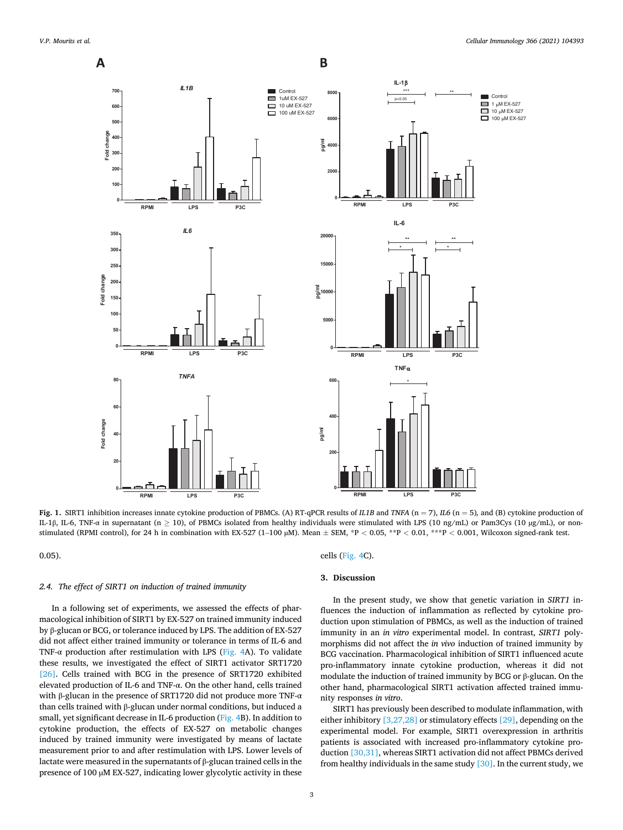<span id="page-2-0"></span>

**Fig. 1.** SIRT1 inhibition increases innate cytokine production of PBMCs. (A) RT-qPCR results of *IL1B* and *TNFA* (n = 7), *IL6* (n = 5)*,* and (B) cytokine production of IL-1β, IL-6, TNF-α in supernatant (n  $\geq$  10), of PBMCs isolated from healthy individuals were stimulated with LPS (10 ng/mL) or Pam3Cys (10 µg/mL), or nonstimulated (RPMI control), for 24 h in combination with EX-527 (1–100 µM). Mean ± SEM, \*P *<* 0.05, \*\*P *<* 0.01, \*\*\*P *<* 0.001, Wilcoxon signed-rank test.

0.05).

#### *2.4. The effect of SIRT1 on induction of trained immunity*

In a following set of experiments, we assessed the effects of pharmacological inhibition of SIRT1 by EX-527 on trained immunity induced by β-glucan or BCG, or tolerance induced by LPS. The addition of EX-527 did not affect either trained immunity or tolerance in terms of IL-6 and TNF- $\alpha$  production after restimulation with LPS [\(Fig. 4](#page-4-0)A). To validate these results, we investigated the effect of SIRT1 activator SRT1720 [\[26\]](#page-6-0). Cells trained with BCG in the presence of SRT1720 exhibited elevated production of IL-6 and TNF-α. On the other hand, cells trained with β-glucan in the presence of SRT1720 did not produce more TNF- $\alpha$ than cells trained with β-glucan under normal conditions, but induced a small, yet significant decrease in IL-6 production ([Fig. 4B](#page-4-0)). In addition to cytokine production, the effects of EX-527 on metabolic changes induced by trained immunity were investigated by means of lactate measurement prior to and after restimulation with LPS. Lower levels of lactate were measured in the supernatants of β-glucan trained cells in the presence of 100 µM EX-527, indicating lower glycolytic activity in these

cells ([Fig. 4C](#page-4-0)).

#### **3. Discussion**

In the present study, we show that genetic variation in *SIRT1* influences the induction of inflammation as reflected by cytokine production upon stimulation of PBMCs, as well as the induction of trained immunity in an *in vitro* experimental model. In contrast, *SIRT1* polymorphisms did not affect the *in vivo* induction of trained immunity by BCG vaccination. Pharmacological inhibition of SIRT1 influenced acute pro-inflammatory innate cytokine production, whereas it did not modulate the induction of trained immunity by BCG or β-glucan. On the other hand, pharmacological SIRT1 activation affected trained immunity responses *in vitro*.

SIRT1 has previously been described to modulate inflammation, with either inhibitory [\[3,27,28\]](#page-6-0) or stimulatory effects [\[29\]](#page-6-0), depending on the experimental model. For example, SIRT1 overexpression in arthritis patients is associated with increased pro-inflammatory cytokine production [\[30,31\]](#page-6-0), whereas SIRT1 activation did not affect PBMCs derived from healthy individuals in the same study  $[30]$ . In the current study, we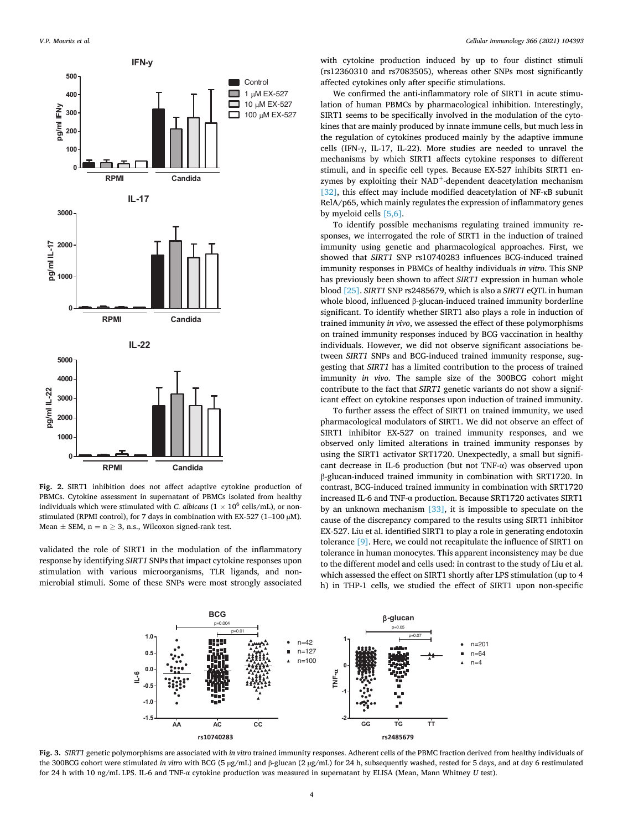<span id="page-3-0"></span>

**Fig. 2.** SIRT1 inhibition does not affect adaptive cytokine production of PBMCs. Cytokine assessment in supernatant of PBMCs isolated from healthy individuals which were stimulated with *C. albicans*  $(1 \times 10^6 \text{ cells/mL})$ , or nonstimulated (RPMI control), for 7 days in combination with EX-527 (1-100 µM). Mean  $\pm$  SEM, n = n  $\geq$  3, n.s., Wilcoxon signed-rank test.

validated the role of SIRT1 in the modulation of the inflammatory response by identifying *SIRT1* SNPs that impact cytokine responses upon stimulation with various microorganisms, TLR ligands, and nonmicrobial stimuli. Some of these SNPs were most strongly associated

with cytokine production induced by up to four distinct stimuli (rs12360310 and rs7083505), whereas other SNPs most significantly affected cytokines only after specific stimulations.

We confirmed the anti-inflammatory role of SIRT1 in acute stimulation of human PBMCs by pharmacological inhibition. Interestingly, SIRT1 seems to be specifically involved in the modulation of the cytokines that are mainly produced by innate immune cells, but much less in the regulation of cytokines produced mainly by the adaptive immune cells (IFN-γ, IL-17, IL-22). More studies are needed to unravel the mechanisms by which SIRT1 affects cytokine responses to different stimuli, and in specific cell types. Because EX-527 inhibits SIRT1 enzymes by exploiting their NAD<sup>+</sup>-dependent deacetylation mechanism [\[32\]](#page-6-0), this effect may include modified deacetylation of NF-κB subunit RelA/p65, which mainly regulates the expression of inflammatory genes by myeloid cells [\[5,6\]](#page-6-0).

To identify possible mechanisms regulating trained immunity responses, we interrogated the role of SIRT1 in the induction of trained immunity using genetic and pharmacological approaches. First, we showed that *SIRT1* SNP rs10740283 influences BCG-induced trained immunity responses in PBMCs of healthy individuals *in vitro*. This SNP has previously been shown to affect *SIRT1* expression in human whole blood [\[25\]](#page-6-0). *SIRT1* SNP rs2485679, which is also a *SIRT1* eQTL in human whole blood, influenced β-glucan-induced trained immunity borderline significant. To identify whether SIRT1 also plays a role in induction of trained immunity *in vivo*, we assessed the effect of these polymorphisms on trained immunity responses induced by BCG vaccination in healthy individuals. However, we did not observe significant associations between *SIRT1* SNPs and BCG-induced trained immunity response, suggesting that *SIRT1* has a limited contribution to the process of trained immunity *in vivo*. The sample size of the 300BCG cohort might contribute to the fact that *SIRT1* genetic variants do not show a significant effect on cytokine responses upon induction of trained immunity.

To further assess the effect of SIRT1 on trained immunity, we used pharmacological modulators of SIRT1. We did not observe an effect of SIRT1 inhibitor EX-527 on trained immunity responses, and we observed only limited alterations in trained immunity responses by using the SIRT1 activator SRT1720. Unexpectedly, a small but significant decrease in IL-6 production (but not TNF-α) was observed upon β-glucan-induced trained immunity in combination with SRT1720. In contrast, BCG-induced trained immunity in combination with SRT1720 increased IL-6 and TNF-α production. Because SRT1720 activates SIRT1 by an unknown mechanism [\[33\]](#page-6-0), it is impossible to speculate on the cause of the discrepancy compared to the results using SIRT1 inhibitor EX-527. Liu et al. identified SIRT1 to play a role in generating endotoxin tolerance [\[9\]](#page-6-0). Here, we could not recapitulate the influence of SIRT1 on tolerance in human monocytes. This apparent inconsistency may be due to the different model and cells used: in contrast to the study of Liu et al. which assessed the effect on SIRT1 shortly after LPS stimulation (up to 4 h) in THP-1 cells, we studied the effect of SIRT1 upon non-specific



**Fig. 3.** *SIRT1* genetic polymorphisms are associated with *in vitro* trained immunity responses. Adherent cells of the PBMC fraction derived from healthy individuals of the 300BCG cohort were stimulated *in vitro* with BCG (5 µg/mL) and β-glucan (2 µg/mL) for 24 h, subsequently washed, rested for 5 days, and at day 6 restimulated for 24 h with 10 ng/mL LPS. IL-6 and TNF-α cytokine production was measured in supernatant by ELISA (Mean, Mann Whitney *U* test).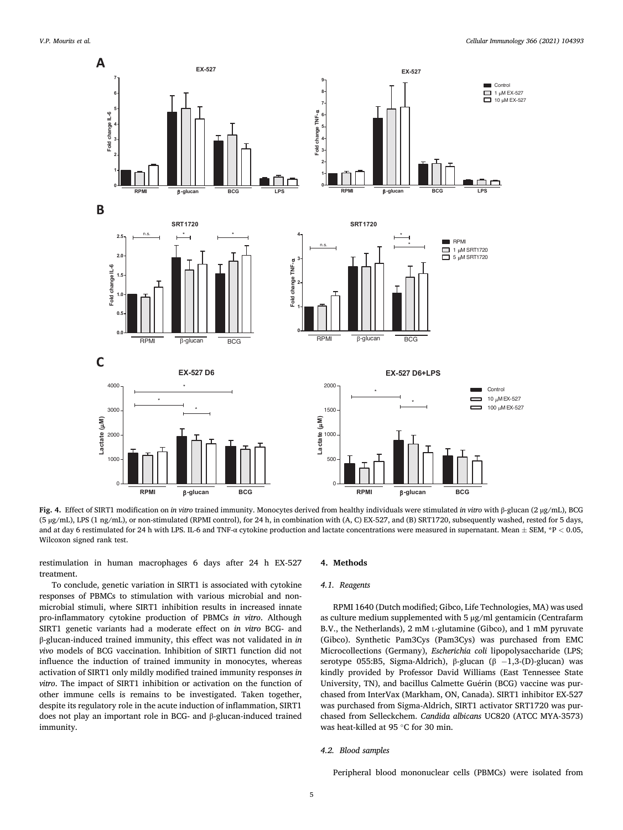<span id="page-4-0"></span>

**Fig. 4.** Effect of SIRT1 modification on *in vitro* trained immunity. Monocytes derived from healthy individuals were stimulated *in vitro* with β-glucan (2 µg/mL), BCG (5 µg/mL), LPS (1 ng/mL), or non-stimulated (RPMI control), for 24 h, in combination with (A, C) EX-527, and (B) SRT1720, subsequently washed, rested for 5 days, and at day 6 restimulated for 24 h with LPS. IL-6 and TNF-α cytokine production and lactate concentrations were measured in supernatant. Mean ± SEM, \*P *<* 0.05, Wilcoxon signed rank test.

restimulation in human macrophages 6 days after 24 h EX-527 treatment.

To conclude, genetic variation in SIRT1 is associated with cytokine responses of PBMCs to stimulation with various microbial and nonmicrobial stimuli, where SIRT1 inhibition results in increased innate pro-inflammatory cytokine production of PBMCs *in vitro*. Although SIRT1 genetic variants had a moderate effect on *in vitro* BCG- and β-glucan-induced trained immunity, this effect was not validated in *in vivo* models of BCG vaccination. Inhibition of SIRT1 function did not influence the induction of trained immunity in monocytes, whereas activation of SIRT1 only mildly modified trained immunity responses *in vitro*. The impact of SIRT1 inhibition or activation on the function of other immune cells is remains to be investigated. Taken together, despite its regulatory role in the acute induction of inflammation, SIRT1 does not play an important role in BCG- and β-glucan-induced trained immunity.

#### **4. Methods**

#### *4.1. Reagents*

RPMI 1640 (Dutch modified; Gibco, Life Technologies, MA) was used as culture medium supplemented with 5 µg/ml gentamicin (Centrafarm B.V., the Netherlands), 2 mM L-glutamine (Gibco), and 1 mM pyruvate (Gibco). Synthetic Pam3Cys (Pam3Cys) was purchased from EMC Microcollections (Germany), *Escherichia coli* lipopolysaccharide (LPS; serotype 055:B5, Sigma-Aldrich), β-glucan (β -1,3-(D)-glucan) was kindly provided by Professor David Williams (East Tennessee State University, TN), and bacillus Calmette Guérin (BCG) vaccine was purchased from InterVax (Markham, ON, Canada). SIRT1 inhibitor EX-527 was purchased from Sigma-Aldrich, SIRT1 activator SRT1720 was purchased from Selleckchem. *Candida albicans* UC820 (ATCC MYA-3573) was heat-killed at 95 ◦C for 30 min.

#### *4.2. Blood samples*

Peripheral blood mononuclear cells (PBMCs) were isolated from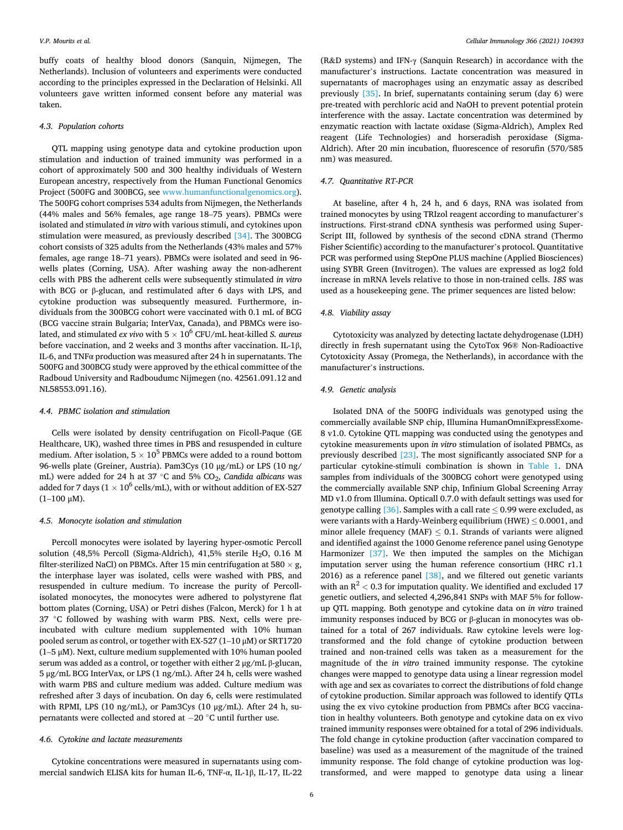buffy coats of healthy blood donors (Sanquin, Nijmegen, The Netherlands). Inclusion of volunteers and experiments were conducted according to the principles expressed in the Declaration of Helsinki. All volunteers gave written informed consent before any material was taken.

#### *4.3. Population cohorts*

QTL mapping using genotype data and cytokine production upon stimulation and induction of trained immunity was performed in a cohort of approximately 500 and 300 healthy individuals of Western European ancestry, respectively from the Human Functional Genomics Project (500FG and 300BCG, see [www.humanfunctionalgenomics.org](http://www.humanfunctionalgenomics.org)). The 500FG cohort comprises 534 adults from Nijmegen, the Netherlands (44% males and 56% females, age range 18–75 years). PBMCs were isolated and stimulated *in vitro* with various stimuli, and cytokines upon stimulation were measured, as previously described [\[34\]](#page-7-0). The 300BCG cohort consists of 325 adults from the Netherlands (43% males and 57% females, age range 18–71 years). PBMCs were isolated and seed in 96 wells plates (Corning, USA). After washing away the non-adherent cells with PBS the adherent cells were subsequently stimulated *in vitro*  with BCG or β-glucan, and restimulated after 6 days with LPS, and cytokine production was subsequently measured. Furthermore, individuals from the 300BCG cohort were vaccinated with 0.1 mL of BCG (BCG vaccine strain Bulgaria; InterVax, Canada), and PBMCs were isolated, and stimulated *ex vivo* with  $5 \times 10^6$  CFU/mL heat-killed *S. aureus* before vaccination, and 2 weeks and 3 months after vaccination. IL-1β, IL-6, and TNFα production was measured after 24 h in supernatants. The 500FG and 300BCG study were approved by the ethical committee of the Radboud University and Radboudumc Nijmegen (no. 42561.091.12 and NL58553.091.16).

#### *4.4. PBMC isolation and stimulation*

Cells were isolated by density centrifugation on Ficoll-Paque (GE Healthcare, UK), washed three times in PBS and resuspended in culture medium. After isolation,  $5 \times 10^5$  PBMCs were added to a round bottom 96-wells plate (Greiner, Austria). Pam3Cys (10 μg/mL) or LPS (10 ng/ mL) were added for 24 h at 37 ◦C and 5% CO2, *Candida albicans* was added for 7 days ( $1 \times 10^6$  cells/mL), with or without addition of EX-527  $(1-100 \mu M).$ 

## *4.5. Monocyte isolation and stimulation*

Percoll monocytes were isolated by layering hyper-osmotic Percoll solution (48,5% Percoll (Sigma-Aldrich), 41,5% sterile  $H<sub>2</sub>O$ , 0.16 M filter-sterilized NaCl) on PBMCs. After 15 min centrifugation at 580  $\times$  g, the interphase layer was isolated, cells were washed with PBS, and resuspended in culture medium. To increase the purity of Percollisolated monocytes, the monocytes were adhered to polystyrene flat bottom plates (Corning, USA) or Petri dishes (Falcon, Merck) for 1 h at 37 °C followed by washing with warm PBS. Next, cells were preincubated with culture medium supplemented with 10% human pooled serum as control, or together with EX-527 (1–10 μM) or SRT1720  $(1-5 \mu M)$ . Next, culture medium supplemented with 10% human pooled serum was added as a control, or together with either 2 μg/mL β-glucan, 5 μg/mL BCG InterVax, or LPS (1 ng/mL). After 24 h, cells were washed with warm PBS and culture medium was added. Culture medium was refreshed after 3 days of incubation. On day 6, cells were restimulated with RPMI, LPS (10 ng/mL), or Pam3Cys (10 μg/mL). After 24 h, supernatants were collected and stored at − 20 ◦C until further use.

## *4.6. Cytokine and lactate measurements*

Cytokine concentrations were measured in supernatants using commercial sandwich ELISA kits for human IL-6, TNF-α, IL-1β, IL-17, IL-22

(R&D systems) and IFN-γ (Sanquin Research) in accordance with the manufacturer's instructions. Lactate concentration was measured in supernatants of macrophages using an enzymatic assay as described previously [\[35\].](#page-7-0) In brief, supernatants containing serum (day 6) were pre-treated with perchloric acid and NaOH to prevent potential protein interference with the assay. Lactate concentration was determined by enzymatic reaction with lactate oxidase (Sigma-Aldrich), Amplex Red reagent (Life Technologies) and horseradish peroxidase (Sigma-Aldrich). After 20 min incubation, fluorescence of resorufin (570/585 nm) was measured.

## *4.7. Quantitative RT-PCR*

At baseline, after 4 h, 24 h, and 6 days, RNA was isolated from trained monocytes by using TRIzol reagent according to manufacturer's instructions. First-strand cDNA synthesis was performed using Super-Script III, followed by synthesis of the second cDNA strand (Thermo Fisher Scientific) according to the manufacturer's protocol. Quantitative PCR was performed using StepOne PLUS machine (Applied Biosciences) using SYBR Green (Invitrogen). The values are expressed as log2 fold increase in mRNA levels relative to those in non-trained cells. *18S* was used as a housekeeping gene. The primer sequences are listed below:

## *4.8. Viability assay*

Cytotoxicity was analyzed by detecting lactate dehydrogenase (LDH) directly in fresh supernatant using the CytoTox 96® Non-Radioactive Cytotoxicity Assay (Promega, the Netherlands), in accordance with the manufacturer's instructions.

#### *4.9. Genetic analysis*

Isolated DNA of the 500FG individuals was genotyped using the commercially available SNP chip, Illumina HumanOmniExpressExome-8 v1.0. Cytokine QTL mapping was conducted using the genotypes and cytokine measurements upon *in vitro* stimulation of isolated PBMCs, as previously described [\[23\]](#page-6-0). The most significantly associated SNP for a particular cytokine-stimuli combination is shown in [Table 1](#page-1-0). DNA samples from individuals of the 300BCG cohort were genotyped using the commercially available SNP chip, Infinium Global Screening Array MD v1.0 from Illumina. Opticall 0.7.0 with default settings was used for genotype calling [\[36\].](#page-7-0) Samples with a call rate  $\leq$  0.99 were excluded, as were variants with a Hardy-Weinberg equilibrium (HWE)  $\leq 0.0001$ , and minor allele frequency (MAF)  $\leq$  0.1. Strands of variants were aligned and identified against the 1000 Genome reference panel using Genotype Harmonizer [\[37\].](#page-7-0) We then imputed the samples on the Michigan imputation server using the human reference consortium (HRC r1.1 2016) as a reference panel  $[38]$ , and we filtered out genetic variants with an  $R^2$  < 0.3 for imputation quality. We identified and excluded 17 genetic outliers, and selected 4,296,841 SNPs with MAF 5% for followup QTL mapping. Both genotype and cytokine data on *in vitro* trained immunity responses induced by BCG or β-glucan in monocytes was obtained for a total of 267 individuals. Raw cytokine levels were logtransformed and the fold change of cytokine production between trained and non-trained cells was taken as a measurement for the magnitude of the *in vitro* trained immunity response. The cytokine changes were mapped to genotype data using a linear regression model with age and sex as covariates to correct the distributions of fold change of cytokine production. Similar approach was followed to identify QTLs using the ex vivo cytokine production from PBMCs after BCG vaccination in healthy volunteers. Both genotype and cytokine data on ex vivo trained immunity responses were obtained for a total of 296 individuals. The fold change in cytokine production (after vaccination compared to baseline) was used as a measurement of the magnitude of the trained immunity response. The fold change of cytokine production was logtransformed, and were mapped to genotype data using a linear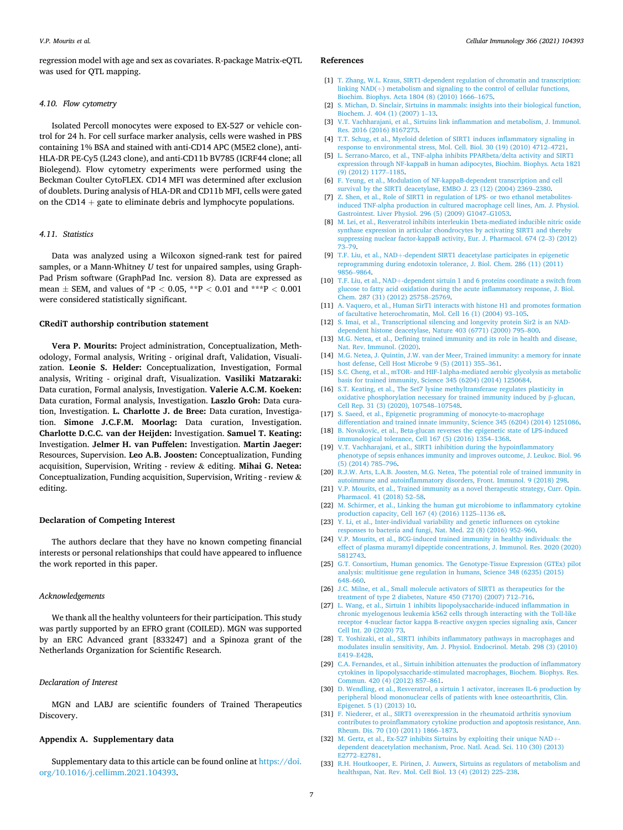<span id="page-6-0"></span>regression model with age and sex as covariates. R-package Matrix-eQTL was used for QTL mapping.

#### *4.10. Flow cytometry*

Isolated Percoll monocytes were exposed to EX-527 or vehicle control for 24 h. For cell surface marker analysis, cells were washed in PBS containing 1% BSA and stained with anti-CD14 APC (M5E2 clone), anti-HLA-DR PE-Cy5 (L243 clone), and anti-CD11b BV785 (ICRF44 clone; all Biolegend). Flow cytometry experiments were performed using the Beckman Coulter CytoFLEX. CD14 MFI was determined after exclusion of doublets. During analysis of HLA-DR and CD11b MFI, cells were gated on the CD14  $+$  gate to eliminate debris and lymphocyte populations.

## *4.11. Statistics*

Data was analyzed using a Wilcoxon signed-rank test for paired samples, or a Mann-Whitney *U* test for unpaired samples, using Graph-Pad Prism software (GraphPad Inc. version 8). Data are expressed as mean ± SEM, and values of \*P *<* 0.05, \*\*P *<* 0.01 and \*\*\*P *<* 0.001 were considered statistically significant.

#### **CRediT authorship contribution statement**

**Vera P. Mourits:** Project administration, Conceptualization, Methodology, Formal analysis, Writing - original draft, Validation, Visualization. **Leonie S. Helder:** Conceptualization, Investigation, Formal analysis, Writing - original draft, Visualization. **Vasiliki Matzaraki:**  Data curation, Formal analysis, Investigation. **Valerie A.C.M. Koeken:**  Data curation, Formal analysis, Investigation. **Laszlo Groh:** Data curation, Investigation. **L. Charlotte J. de Bree:** Data curation, Investigation. **Simone J.C.F.M. Moorlag:** Data curation, Investigation. **Charlotte D.C.C. van der Heijden:** Investigation. **Samuel T. Keating:**  Investigation. **Jelmer H. van Puffelen:** Investigation. **Martin Jaeger:**  Resources, Supervision. **Leo A.B. Joosten:** Conceptualization, Funding acquisition, Supervision, Writing - review & editing. **Mihai G. Netea:**  Conceptualization, Funding acquisition, Supervision, Writing - review & editing.

## **Declaration of Competing Interest**

The authors declare that they have no known competing financial interests or personal relationships that could have appeared to influence the work reported in this paper.

#### *Acknowledgements*

We thank all the healthy volunteers for their participation. This study was partly supported by an EFRO grant (COILED). MGN was supported by an ERC Advanced grant [833247] and a Spinoza grant of the Netherlands Organization for Scientific Research.

#### *Declaration of Interest*

MGN and LABJ are scientific founders of Trained Therapeutics Discovery.

## **Appendix A. Supplementary data**

Supplementary data to this article can be found online at [https://doi.](https://doi.org/10.1016/j.cellimm.2021.104393)  [org/10.1016/j.cellimm.2021.104393](https://doi.org/10.1016/j.cellimm.2021.104393).

#### **References**

- [1] [T. Zhang, W.L. Kraus, SIRT1-dependent regulation of chromatin and transcription:](http://refhub.elsevier.com/S0008-8749(21)00112-X/h0005)  linking NAD(+[\) metabolism and signaling to the control of cellular functions,](http://refhub.elsevier.com/S0008-8749(21)00112-X/h0005)  [Biochim. Biophys. Acta 1804 \(8\) \(2010\) 1666](http://refhub.elsevier.com/S0008-8749(21)00112-X/h0005)–1675.
- [2] [S. Michan, D. Sinclair, Sirtuins in mammals: insights into their biological function,](http://refhub.elsevier.com/S0008-8749(21)00112-X/h0010)  [Biochem. J. 404 \(1\) \(2007\) 1](http://refhub.elsevier.com/S0008-8749(21)00112-X/h0010)–13.
- [3] [V.T. Vachharajani, et al., Sirtuins link inflammation and metabolism, J. Immunol.](http://refhub.elsevier.com/S0008-8749(21)00112-X/h0015)  [Res. 2016 \(2016\) 8167273.](http://refhub.elsevier.com/S0008-8749(21)00112-X/h0015)
- [4] [T.T. Schug, et al., Myeloid deletion of SIRT1 induces inflammatory signaling in](http://refhub.elsevier.com/S0008-8749(21)00112-X/h0020) [response to environmental stress, Mol. Cell. Biol. 30 \(19\) \(2010\) 4712](http://refhub.elsevier.com/S0008-8749(21)00112-X/h0020)–4721.
- [5] [L. Serrano-Marco, et al., TNF-alpha inhibits PPARbeta/delta activity and SIRT1](http://refhub.elsevier.com/S0008-8749(21)00112-X/h0025) [expression through NF-kappaB in human adipocytes, Biochim. Biophys. Acta 1821](http://refhub.elsevier.com/S0008-8749(21)00112-X/h0025)  [\(9\) \(2012\) 1177](http://refhub.elsevier.com/S0008-8749(21)00112-X/h0025)–1185.
- [6] [F. Yeung, et al., Modulation of NF-kappaB-dependent transcription and cell](http://refhub.elsevier.com/S0008-8749(21)00112-X/h0030) [survival by the SIRT1 deacetylase, EMBO J. 23 \(12\) \(2004\) 2369](http://refhub.elsevier.com/S0008-8749(21)00112-X/h0030)–2380.
- [7] [Z. Shen, et al., Role of SIRT1 in regulation of LPS- or two ethanol metabolites](http://refhub.elsevier.com/S0008-8749(21)00112-X/h0035)[induced TNF-alpha production in cultured macrophage cell lines, Am. J. Physiol.](http://refhub.elsevier.com/S0008-8749(21)00112-X/h0035) [Gastrointest. Liver Physiol. 296 \(5\) \(2009\) G1047](http://refhub.elsevier.com/S0008-8749(21)00112-X/h0035)–G1053.
- [8] [M. Lei, et al., Resveratrol inhibits interleukin 1beta-mediated inducible nitric oxide](http://refhub.elsevier.com/S0008-8749(21)00112-X/h0040)  [synthase expression in articular chondrocytes by activating SIRT1 and thereby](http://refhub.elsevier.com/S0008-8749(21)00112-X/h0040)  [suppressing nuclear factor-kappaB activity, Eur. J. Pharmacol. 674 \(2](http://refhub.elsevier.com/S0008-8749(21)00112-X/h0040)–3) (2012) [73](http://refhub.elsevier.com/S0008-8749(21)00112-X/h0040)–79.
- [9] T.F. Liu, et al., NAD+[-dependent SIRT1 deacetylase participates in epigenetic](http://refhub.elsevier.com/S0008-8749(21)00112-X/h0045) [reprogramming during endotoxin tolerance, J. Biol. Chem. 286 \(11\) \(2011\)](http://refhub.elsevier.com/S0008-8749(21)00112-X/h0045) 9856–[9864.](http://refhub.elsevier.com/S0008-8749(21)00112-X/h0045)
- [10] T.F. Liu, et al., NAD+[-dependent sirtuin 1 and 6 proteins coordinate a switch from](http://refhub.elsevier.com/S0008-8749(21)00112-X/h0050)  [glucose to fatty acid oxidation during the acute inflammatory response, J. Biol.](http://refhub.elsevier.com/S0008-8749(21)00112-X/h0050)  [Chem. 287 \(31\) \(2012\) 25758](http://refhub.elsevier.com/S0008-8749(21)00112-X/h0050)–25769.
- [11] [A. Vaquero, et al., Human SirT1 interacts with histone H1 and promotes formation](http://refhub.elsevier.com/S0008-8749(21)00112-X/h0055)  [of facultative heterochromatin, Mol. Cell 16 \(1\) \(2004\) 93](http://refhub.elsevier.com/S0008-8749(21)00112-X/h0055)–105.
- [12] [S. Imai, et al., Transcriptional silencing and longevity protein Sir2 is an NAD](http://refhub.elsevier.com/S0008-8749(21)00112-X/h0060)[dependent histone deacetylase, Nature 403 \(6771\) \(2000\) 795](http://refhub.elsevier.com/S0008-8749(21)00112-X/h0060)–800.
- [13] [M.G. Netea, et al., Defining trained immunity and its role in health and disease,](http://refhub.elsevier.com/S0008-8749(21)00112-X/h0065)  [Nat. Rev. Immunol. \(2020\)](http://refhub.elsevier.com/S0008-8749(21)00112-X/h0065).
- [14] [M.G. Netea, J. Quintin, J.W. van der Meer, Trained immunity: a memory for innate](http://refhub.elsevier.com/S0008-8749(21)00112-X/h0070)  [host defense, Cell Host Microbe 9 \(5\) \(2011\) 355](http://refhub.elsevier.com/S0008-8749(21)00112-X/h0070)–361.
- [15] [S.C. Cheng, et al., mTOR- and HIF-1alpha-mediated aerobic glycolysis as metabolic](http://refhub.elsevier.com/S0008-8749(21)00112-X/h0075)  [basis for trained immunity, Science 345 \(6204\) \(2014\) 1250684.](http://refhub.elsevier.com/S0008-8749(21)00112-X/h0075)
- [16] [S.T. Keating, et al., The Set7 lysine methyltransferase regulates plasticity in](http://refhub.elsevier.com/S0008-8749(21)00112-X/h0080)  [oxidative phosphorylation necessary for trained immunity induced by](http://refhub.elsevier.com/S0008-8749(21)00112-X/h0080) β-glucan, [Cell Rep. 31 \(3\) \(2020\), 107548](http://refhub.elsevier.com/S0008-8749(21)00112-X/h0080)–107548.
- [17] [S. Saeed, et al., Epigenetic programming of monocyte-to-macrophage](http://refhub.elsevier.com/S0008-8749(21)00112-X/h0085)  [differentiation and trained innate immunity, Science 345 \(6204\) \(2014\) 1251086.](http://refhub.elsevier.com/S0008-8749(21)00112-X/h0085)
- [18] [B. Novakovic, et al., Beta-glucan reverses the epigenetic state of LPS-induced](http://refhub.elsevier.com/S0008-8749(21)00112-X/h0090) [immunological tolerance, Cell 167 \(5\) \(2016\) 1354](http://refhub.elsevier.com/S0008-8749(21)00112-X/h0090)–1368.
- [19] [V.T. Vachharajani, et al., SIRT1 inhibition during the hypoinflammatory](http://refhub.elsevier.com/S0008-8749(21)00112-X/h0095)  [phenotype of sepsis enhances immunity and improves outcome, J. Leukoc. Biol. 96](http://refhub.elsevier.com/S0008-8749(21)00112-X/h0095)  [\(5\) \(2014\) 785](http://refhub.elsevier.com/S0008-8749(21)00112-X/h0095)–796.
- [20] [R.J.W. Arts, L.A.B. Joosten, M.G. Netea, The potential role of trained immunity in](http://refhub.elsevier.com/S0008-8749(21)00112-X/h0100)  [autoimmune and autoinflammatory disorders, Front. Immunol. 9 \(2018\) 298](http://refhub.elsevier.com/S0008-8749(21)00112-X/h0100).
- [21] V.P. Mourits, et al., Trained immunity as a novel therapeutic strategy, Curr. Opin. [Pharmacol. 41 \(2018\) 52](http://refhub.elsevier.com/S0008-8749(21)00112-X/h0105)–58.
- [22] [M. Schirmer, et al., Linking the human gut microbiome to inflammatory cytokine](http://refhub.elsevier.com/S0008-8749(21)00112-X/h0110)  [production capacity, Cell 167 \(4\) \(2016\) 1125](http://refhub.elsevier.com/S0008-8749(21)00112-X/h0110)–1136 e8.
- [23] [Y. Li, et al., Inter-individual variability and genetic influences on cytokine](http://refhub.elsevier.com/S0008-8749(21)00112-X/h0115) [responses to bacteria and fungi, Nat. Med. 22 \(8\) \(2016\) 952](http://refhub.elsevier.com/S0008-8749(21)00112-X/h0115)–960.
- [24] [V.P. Mourits, et al., BCG-induced trained immunity in healthy individuals: the](http://refhub.elsevier.com/S0008-8749(21)00112-X/h0120)  [effect of plasma muramyl dipeptide concentrations, J. Immunol. Res. 2020 \(2020\)](http://refhub.elsevier.com/S0008-8749(21)00112-X/h0120)  [5812743](http://refhub.elsevier.com/S0008-8749(21)00112-X/h0120).
- [25] G.T. Consortium, Human genomics. The Genotype-Tissue Expression (GTEx) pilot [analysis: multitissue gene regulation in humans, Science 348 \(6235\) \(2015\)](http://refhub.elsevier.com/S0008-8749(21)00112-X/h0125) 648–[660.](http://refhub.elsevier.com/S0008-8749(21)00112-X/h0125)
- [26] [J.C. Milne, et al., Small molecule activators of SIRT1 as therapeutics for the](http://refhub.elsevier.com/S0008-8749(21)00112-X/h0130) [treatment of type 2 diabetes, Nature 450 \(7170\) \(2007\) 712](http://refhub.elsevier.com/S0008-8749(21)00112-X/h0130)–716.
- [27] [L. Wang, et al., Sirtuin 1 inhibits lipopolysaccharide-induced inflammation in](http://refhub.elsevier.com/S0008-8749(21)00112-X/h0135) [chronic myelogenous leukemia k562 cells through interacting with the Toll-like](http://refhub.elsevier.com/S0008-8749(21)00112-X/h0135)  [receptor 4-nuclear factor kappa B-reactive oxygen species signaling axis, Cancer](http://refhub.elsevier.com/S0008-8749(21)00112-X/h0135)  [Cell Int. 20 \(2020\) 73.](http://refhub.elsevier.com/S0008-8749(21)00112-X/h0135)
- [28] [T. Yoshizaki, et al., SIRT1 inhibits inflammatory pathways in macrophages and](http://refhub.elsevier.com/S0008-8749(21)00112-X/h0140) [modulates insulin sensitivity, Am. J. Physiol. Endocrinol. Metab. 298 \(3\) \(2010\)](http://refhub.elsevier.com/S0008-8749(21)00112-X/h0140) [E419](http://refhub.elsevier.com/S0008-8749(21)00112-X/h0140)–E428.
- [29] [C.A. Fernandes, et al., Sirtuin inhibition attenuates the production of inflammatory](http://refhub.elsevier.com/S0008-8749(21)00112-X/h0145)  [cytokines in lipopolysaccharide-stimulated macrophages, Biochem. Biophys. Res.](http://refhub.elsevier.com/S0008-8749(21)00112-X/h0145)  [Commun. 420 \(4\) \(2012\) 857](http://refhub.elsevier.com/S0008-8749(21)00112-X/h0145)–861.
- [30] [D. Wendling, et al., Resveratrol, a sirtuin 1 activator, increases IL-6 production by](http://refhub.elsevier.com/S0008-8749(21)00112-X/h0150)  [peripheral blood mononuclear cells of patients with knee osteoarthritis, Clin.](http://refhub.elsevier.com/S0008-8749(21)00112-X/h0150) [Epigenet. 5 \(1\) \(2013\) 10](http://refhub.elsevier.com/S0008-8749(21)00112-X/h0150).
- [31] [F. Niederer, et al., SIRT1 overexpression in the rheumatoid arthritis synovium](http://refhub.elsevier.com/S0008-8749(21)00112-X/h0155) [contributes to proinflammatory cytokine production and apoptosis resistance, Ann.](http://refhub.elsevier.com/S0008-8749(21)00112-X/h0155)  [Rheum. Dis. 70 \(10\) \(2011\) 1866](http://refhub.elsevier.com/S0008-8749(21)00112-X/h0155)–1873.
- [32] [M. Gertz, et al., Ex-527 inhibits Sirtuins by exploiting their unique NAD](http://refhub.elsevier.com/S0008-8749(21)00112-X/h0160)+ [dependent deacetylation mechanism, Proc. Natl. Acad. Sci. 110 \(30\) \(2013\)](http://refhub.elsevier.com/S0008-8749(21)00112-X/h0160) [E2772](http://refhub.elsevier.com/S0008-8749(21)00112-X/h0160)–E2781.
- [33] [R.H. Houtkooper, E. Pirinen, J. Auwerx, Sirtuins as regulators of metabolism and](http://refhub.elsevier.com/S0008-8749(21)00112-X/h0165)  [healthspan, Nat. Rev. Mol. Cell Biol. 13 \(4\) \(2012\) 225](http://refhub.elsevier.com/S0008-8749(21)00112-X/h0165)–238.